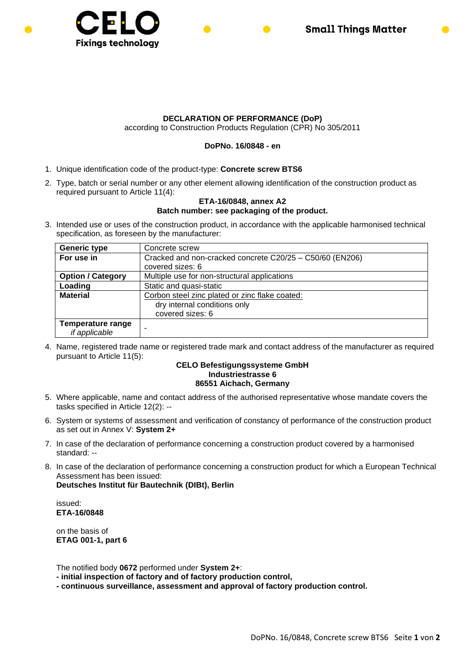

# **DECLARATION OF PERFORMANCE (DoP)**

according to Construction Products Regulation (CPR) No 305/2011

## **DoPNo. 16/0848 - en**

- 1. Unique identification code of the product-type: **Concrete screw BTS6**
- 2. Type, batch or serial number or any other element allowing identification of the construction product as required pursuant to Article 11(4):

#### **ETA-16/0848, annex A2 Batch number: see packaging of the product.**

3. Intended use or uses of the construction product, in accordance with the applicable harmonised technical specification, as foreseen by the manufacturer:

| <b>Generic type</b>      | Concrete screw                                           |  |  |
|--------------------------|----------------------------------------------------------|--|--|
| For use in               | Cracked and non-cracked concrete C20/25 - C50/60 (EN206) |  |  |
|                          | covered sizes: 6                                         |  |  |
| <b>Option / Category</b> | Multiple use for non-structural applications             |  |  |
| Loading                  | Static and quasi-static                                  |  |  |
| <b>Material</b>          | Corbon steel zinc plated or zinc flake coated:           |  |  |
|                          | dry internal conditions only                             |  |  |
|                          | covered sizes: 6                                         |  |  |
| <b>Temperature range</b> |                                                          |  |  |
| if applicable            |                                                          |  |  |

4. Name, registered trade name or registered trade mark and contact address of the manufacturer as required pursuant to Article 11(5):

### **CELO Befestigungssysteme GmbH Industriestrasse 6 86551 Aichach, Germany**

- 5. Where applicable, name and contact address of the authorised representative whose mandate covers the tasks specified in Article 12(2): --
- 6. System or systems of assessment and verification of constancy of performance of the construction product as set out in Annex V: **System 2+**
- 7. In case of the declaration of performance concerning a construction product covered by a harmonised standard: --
- 8. In case of the declaration of performance concerning a construction product for which a European Technical Assessment has been issued:

**Deutsches Institut für Bautechnik (DIBt), Berlin**

issued: **ETA-16/0848**

on the basis of **ETAG 001-1, part 6**

The notified body **0672** performed under **System 2+**:

**- initial inspection of factory and of factory production control,**

**- continuous surveillance, assessment and approval of factory production control.**